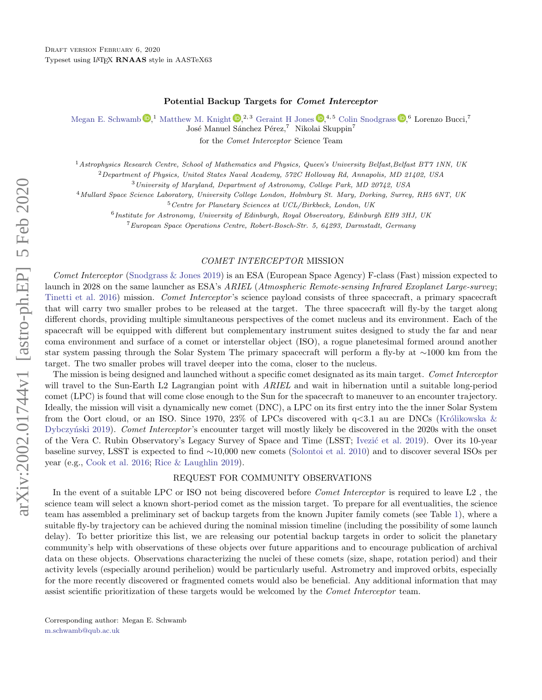#### Potential Backup Targets for Comet Interceptor

[Megan E. Schwamb](http://orcid.org/0000-0003-4365-1455)  $\mathbb{D}$ , [Matthew M. Knight](http://orcid.org/0000-0003-2781-6897)  $\mathbb{D}$ ,<sup>2, 3</sup> [Geraint H Jones](http://orcid.org/0000-0002-5859-1136)  $\mathbb{D}$ ,<sup>4, 5</sup> [Colin Snodgrass](http://orcid.org/0000-0001-9328-2905)  $\mathbb{D}$ , <sup>6</sup> Lorenzo Bucci,<sup>7</sup>

José Manuel Sánchez Pérez,<sup>7</sup> Nikolai Skuppin<sup>7</sup>

for the Comet Interceptor Science Team

<sup>1</sup> Astrophysics Research Centre, School of Mathematics and Physics, Queen's University Belfast, Belfast BT7 1NN, UK <sup>2</sup>Department of Physics, United States Naval Academy, 572C Holloway Rd, Annapolis, MD 21402, USA

<sup>3</sup>University of Maryland, Department of Astronomy, College Park, MD 20742, USA

<sup>4</sup>Mullard Space Science Laboratory, University College London, Holmbury St. Mary, Dorking, Surrey, RH5 6NT, UK

<sup>5</sup>Centre for Planetary Sciences at UCL/Birkbeck, London, UK

<sup>6</sup> Institute for Astronomy, University of Edinburgh, Royal Observatory, Edinburgh EH9 3HJ, UK

<sup>7</sup>European Space Operations Centre, Robert-Bosch-Str. 5, 64293, Darmstadt, Germany

### COMET INTERCEPTOR MISSION

Comet Interceptor [\(Snodgrass & Jones](#page-1-0) [2019\)](#page-1-0) is an ESA (European Space Agency) F-class (Fast) mission expected to launch in 2028 on the same launcher as ESA's ARIEL (Atmospheric Remote-sensing Infrared Exoplanet Large-survey; [Tinetti et al.](#page-1-1) [2016\)](#page-1-1) mission. Comet Interceptor 's science payload consists of three spacecraft, a primary spacecraft that will carry two smaller probes to be released at the target. The three spacecraft will fly-by the target along different chords, providing multiple simultaneous perspectives of the comet nucleus and its environment. Each of the spacecraft will be equipped with different but complementary instrument suites designed to study the far and near coma environment and surface of a comet or interstellar object (ISO), a rogue planetesimal formed around another star system passing through the Solar System The primary spacecraft will perform a fly-by at ∼1000 km from the target. The two smaller probes will travel deeper into the coma, closer to the nucleus.

The mission is being designed and launched without a specific comet designated as its main target. Comet Interceptor will travel to the Sun-Earth L2 Lagrangian point with ARIEL and wait in hibernation until a suitable long-period comet (LPC) is found that will come close enough to the Sun for the spacecraft to maneuver to an encounter trajectory. Ideally, the mission will visit a dynamically new comet (DNC), a LPC on its first entry into the the inner Solar System from the Oort cloud, or an ISO. Since 1970, 23% of LPCs discovered with  $q<3.1$  au are DNCs (Królikowska & Dybczyński [2019\)](#page-1-2). Comet Interceptor's encounter target will mostly likely be discovered in the 2020s with the onset of the Vera C. Rubin Observatory's Legacy Survey of Space and Time (LSST; Ivezic et al. [2019\)](#page-1-3). Over its 10-year baseline survey, LSST is expected to find ∼10,000 new comets [\(Solontoi et al.](#page-1-4) [2010\)](#page-1-4) and to discover several ISOs per year (e.g., [Cook et al.](#page-1-5) [2016;](#page-1-5) [Rice & Laughlin](#page-1-6) [2019\)](#page-1-6).

## REQUEST FOR COMMUNITY OBSERVATIONS

In the event of a suitable LPC or ISO not being discovered before *Comet Interceptor* is required to leave L2, the science team will select a known short-period comet as the mission target. To prepare for all eventualities, the science team has assembled a preliminary set of backup targets from the known Jupiter family comets (see Table [1\)](#page-1-7), where a suitable fly-by trajectory can be achieved during the nominal mission timeline (including the possibility of some launch delay). To better prioritize this list, we are releasing our potential backup targets in order to solicit the planetary community's help with observations of these objects over future apparitions and to encourage publication of archival data on these objects. Observations characterizing the nuclei of these comets (size, shape, rotation period) and their activity levels (especially around perihelion) would be particularly useful. Astrometry and improved orbits, especially for the more recently discovered or fragmented comets would also be beneficial. Any additional information that may assist scientific prioritization of these targets would be welcomed by the *Comet Interceptor* team.

<span id="page-0-1"></span><span id="page-0-0"></span>Corresponding author: Megan E. Schwamb [m.schwamb@qub.ac.uk](mailto: m.schwamb@qub.ac.uk)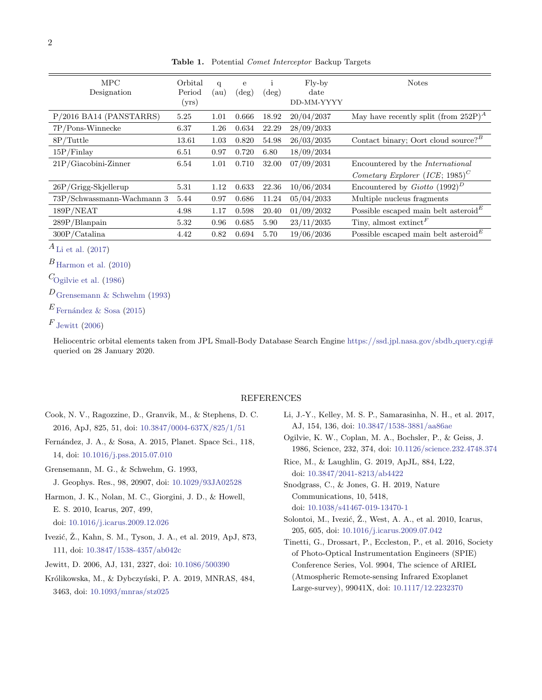| <b>MPC</b><br>Designation  | Orbital<br>Period<br>(yrs) | q<br>(au) | e<br>$(\text{deg})$ | $(\text{deg})$ | Fly-by<br>date<br>DD-MM-YYYY | <b>Notes</b>                                           |
|----------------------------|----------------------------|-----------|---------------------|----------------|------------------------------|--------------------------------------------------------|
| P/2016 BA14 (PANSTARRS)    | 5.25                       | 1.01      | 0.666               | 18.92          | 20/04/2037                   | May have recently split (from 252P) <sup>A</sup>       |
| $7P/P$ ons-Winnecke        | 6.37                       | 1.26      | 0.634               | 22.29          | 28/09/2033                   |                                                        |
| 8P/Tuttle                  | 13.61                      | 1.03      | 0.820               | 54.98          | 26/03/2035                   | Contact binary; Oort cloud source? <sup><i>B</i></sup> |
| 15P/Finlay                 | 6.51                       | 0.97      | 0.720               | 6.80           | 18/09/2034                   |                                                        |
| $21P/Giacobini-Zinner$     | 6.54                       | 1.01      | 0.710               | 32.00          | 07/09/2031                   | Encountered by the <i>International</i>                |
|                            |                            |           |                     |                |                              | Cometary Explorer (ICE; 1985) <sup>C</sup>             |
| $26P/G$ rigg-Skjellerup    | 5.31                       | 1.12      | 0.633               | 22.36          | 10/06/2034                   | Encountered by <i>Giotto</i> $(1992)^D$                |
| 73P/Schwassmann-Wachmann 3 | 5.44                       | 0.97      | 0.686               | 11.24          | 05/04/2033                   | Multiple nucleus fragments                             |
| 189P/NEAT                  | 4.98                       | 1.17      | 0.598               | 20.40          | 01/09/2032                   | Possible escaped main belt asteroid $E$                |
| $289P/B$ lanpain           | 5.32                       | 0.96      | 0.685               | 5.90           | 23/11/2035                   | Tiny, almost extinct <sup><math>F</math></sup>         |
| 300P/Catalina              | 4.42                       | 0.82      | 0.694               | 5.70           | 19/06/2036                   | Possible escaped main belt asteroid <sup>E</sup>       |

<span id="page-1-7"></span>Table 1. Potential Comet Interceptor Backup Targets

 $A_{\text{Li}}$  et al. [\(2017\)](#page-1-8)

 $B_{\text{Harmon et al.} (2010)}$  $B_{\text{Harmon et al.} (2010)}$  $B_{\text{Harmon et al.} (2010)}$  $B_{\text{Harmon et al.} (2010)}$  $B_{\text{Harmon et al.} (2010)}$ 

 $C_{\text{Ogilvie et al.} (1986)}$  $C_{\text{Ogilvie et al.} (1986)}$  $C_{\text{Ogilvie et al.} (1986)}$  $C_{\text{Ogilvie et al.} (1986)}$  $C_{\text{Ogilvie et al.} (1986)}$ 

 $D_{\text{Grensemann}} \& \text{Schwehm}$  [\(1993\)](#page-1-11)

 $E$  Fernández & Sosa [\(2015\)](#page-1-12)

```
Jewitt}}(2006)
```
Heliocentric orbital elements taken from JPL Small-Body Database Search Engine [https://ssd.jpl.nasa.gov/sbdb](https://ssd.jpl.nasa.gov/sbdb_query.cgi#)\_query.cgi# queried on 28 January 2020.

### REFERENCES

- <span id="page-1-5"></span>Cook, N. V., Ragozzine, D., Granvik, M., & Stephens, D. C. 2016, ApJ, 825, 51, doi: [10.3847/0004-637X/825/1/51](http://doi.org/10.3847/0004-637X/825/1/51)
- <span id="page-1-12"></span>Fernández, J. A., & Sosa, A. 2015, Planet. Space Sci., 118, 14, doi: [10.1016/j.pss.2015.07.010](http://doi.org/10.1016/j.pss.2015.07.010)
- <span id="page-1-11"></span>Grensemann, M. G., & Schwehm, G. 1993,
- J. Geophys. Res., 98, 20907, doi: [10.1029/93JA02528](http://doi.org/10.1029/93JA02528)

<span id="page-1-9"></span>Harmon, J. K., Nolan, M. C., Giorgini, J. D., & Howell, E. S. 2010, Icarus, 207, 499,

doi: [10.1016/j.icarus.2009.12.026](http://doi.org/10.1016/j.icarus.2009.12.026)

- <span id="page-1-3"></span>Ivezić, Ž., Kahn, S. M., Tyson, J. A., et al. 2019, ApJ, 873, 111, doi: [10.3847/1538-4357/ab042c](http://doi.org/10.3847/1538-4357/ab042c)
- <span id="page-1-13"></span>Jewitt, D. 2006, AJ, 131, 2327, doi: [10.1086/500390](http://doi.org/10.1086/500390)
- <span id="page-1-2"></span>Królikowska, M., & Dybczyński, P. A. 2019, MNRAS, 484, 3463, doi: [10.1093/mnras/stz025](http://doi.org/10.1093/mnras/stz025)
- <span id="page-1-8"></span>Li, J.-Y., Kelley, M. S. P., Samarasinha, N. H., et al. 2017, AJ, 154, 136, doi: [10.3847/1538-3881/aa86ae](http://doi.org/10.3847/1538-3881/aa86ae)
- <span id="page-1-10"></span>Ogilvie, K. W., Coplan, M. A., Bochsler, P., & Geiss, J. 1986, Science, 232, 374, doi: [10.1126/science.232.4748.374](http://doi.org/10.1126/science.232.4748.374)
- <span id="page-1-6"></span>Rice, M., & Laughlin, G. 2019, ApJL, 884, L22, doi: [10.3847/2041-8213/ab4422](http://doi.org/10.3847/2041-8213/ab4422)
- <span id="page-1-0"></span>Snodgrass, C., & Jones, G. H. 2019, Nature Communications, 10, 5418, doi: [10.1038/s41467-019-13470-1](http://doi.org/10.1038/s41467-019-13470-1)
- <span id="page-1-4"></span>Solontoi, M., Ivezić, Ž., West, A. A., et al. 2010, Icarus, 205, 605, doi: [10.1016/j.icarus.2009.07.042](http://doi.org/10.1016/j.icarus.2009.07.042)
- <span id="page-1-1"></span>Tinetti, G., Drossart, P., Eccleston, P., et al. 2016, Society of Photo-Optical Instrumentation Engineers (SPIE) Conference Series, Vol. 9904, The science of ARIEL (Atmospheric Remote-sensing Infrared Exoplanet Large-survey), 99041X, doi: [10.1117/12.2232370](http://doi.org/10.1117/12.2232370)